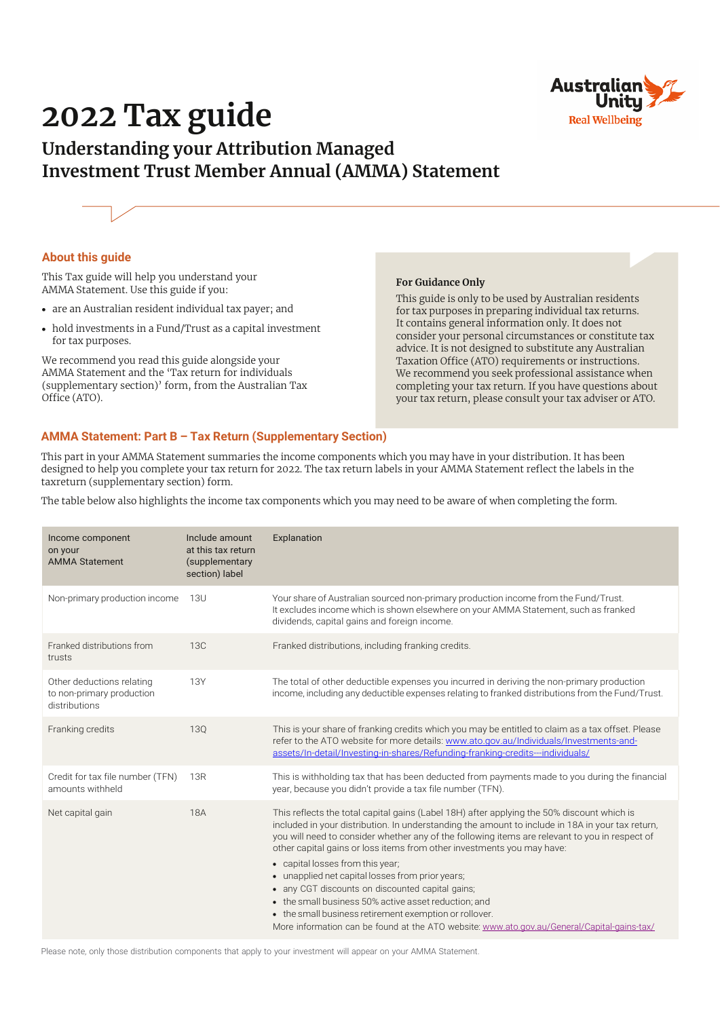

# **2022 Tax guide**

# **Understanding your Attribution Managed Investment Trust Member Annual (AMMA) Statement**



### **About this guide**

This Tax guide will help you understand your AMMA Statement. Use this guide if you:

- **•** are an Australian resident individual tax payer; and
- **•** hold investments in a Fund/Trust as a capital investment for tax purposes.

We recommend you read this guide alongside your AMMA Statement and the 'Tax return for individuals (supplementary section)' form, from the Australian Tax Office (ATO).

#### **For Guidance Only**

This guide is only to be used by Australian residents for tax purposes in preparing individual tax returns. It contains general information only. It does not consider your personal circumstances or constitute tax advice. It is not designed to substitute any Australian Taxation Office (ATO) requirements or instructions. We recommend you seek professional assistance when completing your tax return. If you have questions about your tax return, please consult your tax adviser or ATO.

# **AMMA Statement: Part B – Tax Return (Supplementary Section)**

This part in your AMMA Statement summaries the income components which you may have in your distribution. It has been designed to help you complete your tax return for 2022. The tax return labels in your AMMA Statement reflect the labels in the taxreturn (supplementary section) form.

The table below also highlights the income tax components which you may need to be aware of when completing the form.

| Income component<br>on your<br><b>AMMA Statement</b>                    | Include amount<br>at this tax return<br>(supplementary<br>section) label | Explanation                                                                                                                                                                                                                                                                                                                                                                                                                                                                                                                                                                                                                                                                                                                             |
|-------------------------------------------------------------------------|--------------------------------------------------------------------------|-----------------------------------------------------------------------------------------------------------------------------------------------------------------------------------------------------------------------------------------------------------------------------------------------------------------------------------------------------------------------------------------------------------------------------------------------------------------------------------------------------------------------------------------------------------------------------------------------------------------------------------------------------------------------------------------------------------------------------------------|
| Non-primary production income                                           | 13U                                                                      | Your share of Australian sourced non-primary production income from the Fund/Trust.<br>It excludes income which is shown elsewhere on your AMMA Statement, such as franked<br>dividends, capital gains and foreign income.                                                                                                                                                                                                                                                                                                                                                                                                                                                                                                              |
| Franked distributions from<br>trusts                                    | 13C                                                                      | Franked distributions, including franking credits.                                                                                                                                                                                                                                                                                                                                                                                                                                                                                                                                                                                                                                                                                      |
| Other deductions relating<br>to non-primary production<br>distributions | <b>13Y</b>                                                               | The total of other deductible expenses you incurred in deriving the non-primary production<br>income, including any deductible expenses relating to franked distributions from the Fund/Trust.                                                                                                                                                                                                                                                                                                                                                                                                                                                                                                                                          |
| Franking credits                                                        | <b>130</b>                                                               | This is your share of franking credits which you may be entitled to claim as a tax offset. Please<br>refer to the ATO website for more details: www.ato.gov.au/Individuals/Investments-and-<br>assets/In-detail/Investing-in-shares/Refunding-franking-credits---individuals/                                                                                                                                                                                                                                                                                                                                                                                                                                                           |
| Credit for tax file number (TFN)<br>amounts withheld                    | 13R                                                                      | This is withholding tax that has been deducted from payments made to you during the financial<br>year, because you didn't provide a tax file number (TFN).                                                                                                                                                                                                                                                                                                                                                                                                                                                                                                                                                                              |
| Net capital gain                                                        | <b>18A</b>                                                               | This reflects the total capital gains (Label 18H) after applying the 50% discount which is<br>included in your distribution. In understanding the amount to include in 18A in your tax return,<br>you will need to consider whether any of the following items are relevant to you in respect of<br>other capital gains or loss items from other investments you may have:<br>• capital losses from this year;<br>• unapplied net capital losses from prior years;<br>• any CGT discounts on discounted capital gains;<br>• the small business 50% active asset reduction: and<br>• the small business retirement exemption or rollover.<br>More information can be found at the ATO website: www.ato.gov.au/General/Capital-gains-tax/ |

Please note, only those distribution components that apply to your investment will appear on your AMMA Statement.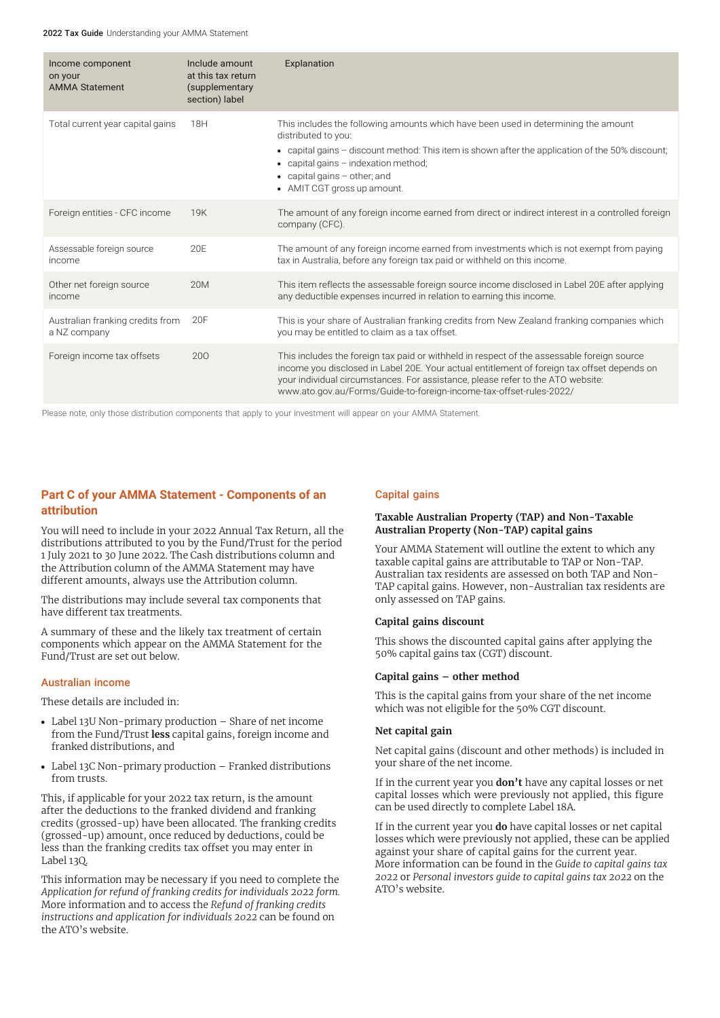2022 Tax Guide Understanding your AMMA Statement

| Income component<br>on your<br><b>AMMA Statement</b> | Include amount<br>at this tax return<br>(supplementary<br>section) label | Explanation                                                                                                                                                                                                                                                                                                                                         |
|------------------------------------------------------|--------------------------------------------------------------------------|-----------------------------------------------------------------------------------------------------------------------------------------------------------------------------------------------------------------------------------------------------------------------------------------------------------------------------------------------------|
| Total current year capital gains                     | 18H                                                                      | This includes the following amounts which have been used in determining the amount<br>distributed to you:<br>• capital gains - discount method: This item is shown after the application of the 50% discount;<br>• capital gains - indexation method;<br>$\bullet$ capital gains $-$ other; and<br>• AMIT CGT gross up amount.                      |
| Foreign entities - CFC income                        | 19K                                                                      | The amount of any foreign income earned from direct or indirect interest in a controlled foreign<br>company (CFC).                                                                                                                                                                                                                                  |
| Assessable foreign source<br>income                  | 20E                                                                      | The amount of any foreign income earned from investments which is not exempt from paying<br>tax in Australia, before any foreign tax paid or withheld on this income.                                                                                                                                                                               |
| Other net foreign source<br>income                   | 20M                                                                      | This item reflects the assessable foreign source income disclosed in Label 20E after applying<br>any deductible expenses incurred in relation to earning this income.                                                                                                                                                                               |
| Australian franking credits from<br>a NZ company     | 20F                                                                      | This is your share of Australian franking credits from New Zealand franking companies which<br>you may be entitled to claim as a tax offset.                                                                                                                                                                                                        |
| Foreign income tax offsets                           | 200                                                                      | This includes the foreign tax paid or withheld in respect of the assessable foreign source<br>income you disclosed in Label 20E. Your actual entitlement of foreign tax offset depends on<br>your individual circumstances. For assistance, please refer to the ATO website:<br>www.ato.gov.au/Forms/Guide-to-foreign-income-tax-offset-rules-2022/ |

Please note, only those distribution components that apply to your investment will appear on your AMMA Statement.

# **Part C of your AMMA Statement - Components of an attribution**

You will need to include in your 2022 Annual Tax Return, all the distributions attributed to you by the Fund/Trust for the period 1 July 2021 to 30 June 2022. The Cash distributions column and the Attribution column of the AMMA Statement may have different amounts, always use the Attribution column.

The distributions may include several tax components that have different tax treatments.

A summary of these and the likely tax treatment of certain components which appear on the AMMA Statement for the Fund/Trust are set out below.

#### Australian income

These details are included in:

- **•** Label 13U Non-primary production Share of net income from the Fund/Trust **less** capital gains, foreign income and franked distributions, and
- **•** Label 13C Non-primary production Franked distributions from trusts.

This, if applicable for your 2022 tax return, is the amount after the deductions to the franked dividend and franking credits (grossed-up) have been allocated. The franking credits (grossed-up) amount, once reduced by deductions, could be less than the franking credits tax offset you may enter in Label 13Q.

This information may be necessary if you need to complete the *Application for refund of franking credits for individuals 2022 form.* More information and to access the *Refund of franking credits instructions and application for individuals 2022* can be found on the ATO's website.

#### Capital gains

#### **Taxable Australian Property (TAP) and Non-Taxable Australian Property (Non-TAP) capital gains**

Your AMMA Statement will outline the extent to which any taxable capital gains are attributable to TAP or Non-TAP. Australian tax residents are assessed on both TAP and Non-TAP capital gains. However, non-Australian tax residents are only assessed on TAP gains.

#### **Capital gains discount**

This shows the discounted capital gains after applying the 50% capital gains tax (CGT) discount.

#### **Capital gains – other method**

This is the capital gains from your share of the net income which was not eligible for the 50% CGT discount.

#### **Net capital gain**

Net capital gains (discount and other methods) is included in your share of the net income.

If in the current year you **don't** have any capital losses or net capital losses which were previously not applied, this figure can be used directly to complete Label 18A.

If in the current year you **do** have capital losses or net capital losses which were previously not applied, these can be applied against your share of capital gains for the current year. More information can be found in the *Guide to capital gains tax 2022* or *Personal investors guide to capital gains tax 2022* on the ATO's website.